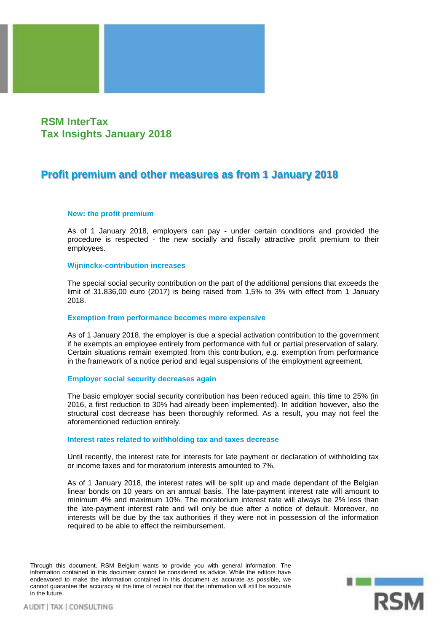# **RSM InterTax Tax Insights January 2018**

# **Profit premium and other measures as from 1 January 2018**

## **New: the profit premium**

As of 1 January 2018, employers can pay - under certain conditions and provided the procedure is respected - the new socially and fiscally attractive profit premium to their employees.

## **Wijninckx-contribution increases**

The special social security contribution on the part of the additional pensions that exceeds the limit of 31.836,00 euro (2017) is being raised from 1,5% to 3% with effect from 1 January 2018.

### **Exemption from performance becomes more expensive**

As of 1 January 2018, the employer is due a special activation contribution to the government if he exempts an employee entirely from performance with full or partial preservation of salary. Certain situations remain exempted from this contribution, e.g. exemption from performance in the framework of a notice period and legal suspensions of the employment agreement.

#### **Employer social security decreases again**

The basic employer social security contribution has been reduced again, this time to 25% (in 2016, a first reduction to 30% had already been implemented). In addition however, also the structural cost decrease has been thoroughly reformed. As a result, you may not feel the aforementioned reduction entirely.

#### **Interest rates related to withholding tax and taxes decrease**

Until recently, the interest rate for interests for late payment or declaration of withholding tax or income taxes and for moratorium interests amounted to 7%.

As of 1 January 2018, the interest rates will be split up and made dependant of the Belgian linear bonds on 10 years on an annual basis. The late-payment interest rate will amount to minimum 4% and maximum 10%. The moratorium interest rate will always be 2% less than the late-payment interest rate and will only be due after a notice of default. Moreover, no interests will be due by the tax authorities if they were not in possession of the information required to be able to effect the reimbursement.

Through this document, RSM Belgium wants to provide you with general information. The information contained in this document cannot be considered as advice. While the editors have endeavored to make the information contained in this document as accurate as possible, we cannot guarantee the accuracy at the time of receipt nor that the information will still be accurate in the future.